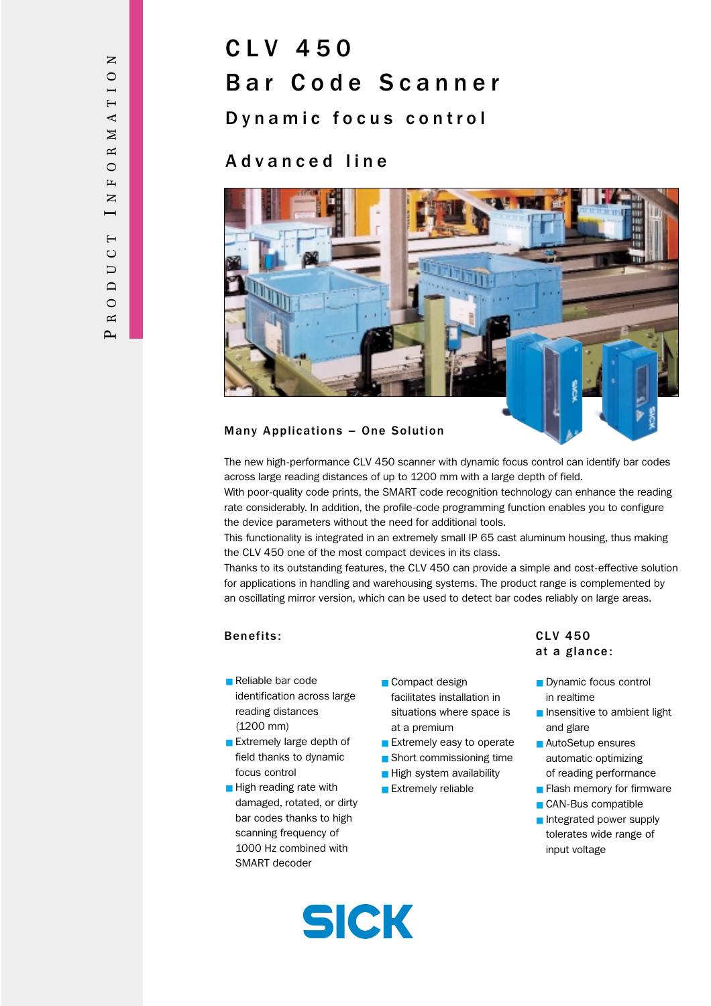# CLV 450 Bar Code Scanner

Dynamic focus control

## Advanced line



### Many Applications – One Solution

The new high-performance CLV 450 scanner with dynamic focus control can identify bar codes across large reading distances of up to 1200 mm with a large depth of field.

With poor-quality code prints, the SMART code recognition technology can enhance the reading rate considerably. In addition, the profile-code programming function enables you to configure the device parameters without the need for additional tools.

This functionality is integrated in an extremely small IP 65 cast aluminum housing, thus making the CLV 450 one of the most compact devices in its class.

Thanks to its outstanding features, the CLV 450 can provide a simple and cost-effective solution for applications in handling and warehousing systems. The product range is complemented by an oscillating mirror version, which can be used to detect bar codes reliably on large areas.

### Benefits: CLV 450

- Reliable bar code identification across large reading distances (1200 mm)
- Extremely large depth of field thanks to dynamic focus control
- High reading rate with damaged, rotated, or dirty bar codes thanks to high scanning frequency of 1000 Hz combined with SMART decoder
- Compact design facilitates installation in situations where space is at a premium
- Extremely easy to operate
- Short commissioning time
- High system availability
- Extremely reliable

# at a glance:

- Dynamic focus control in realtime
- Insensitive to ambient light and glare
- AutoSetup ensures automatic optimizing of reading performance
- Flash memory for firmware
- CAN-Bus compatible
- Integrated power supply tolerates wide range of input voltage

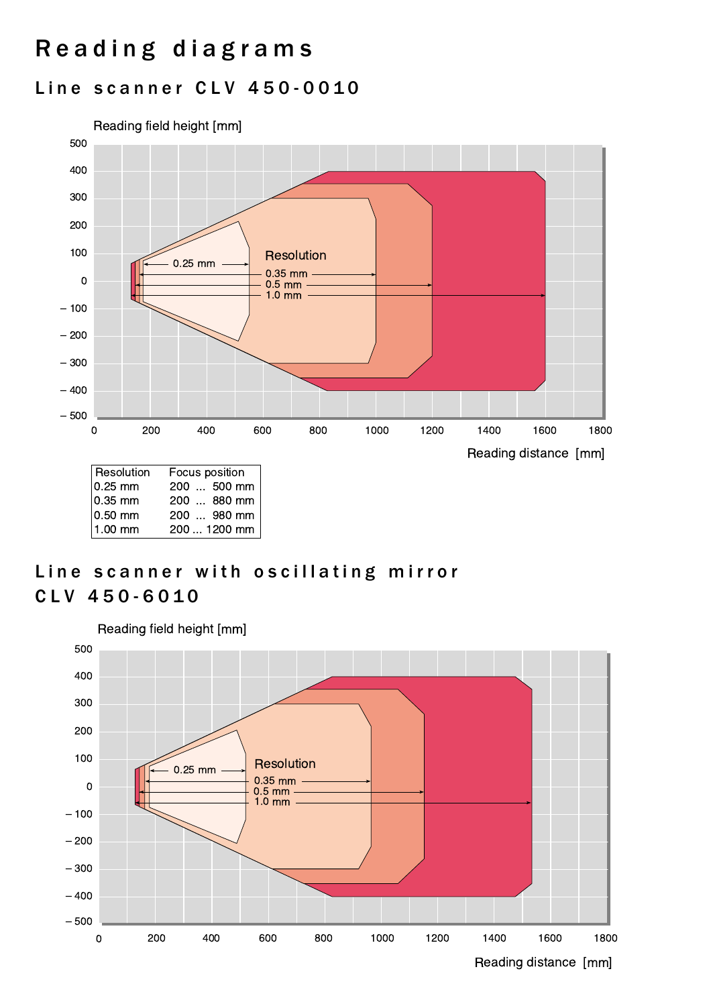# Reading diagrams

## Line scanner CLV 450-0010



## Line scanner with oscillating mirror CLV 450-6010

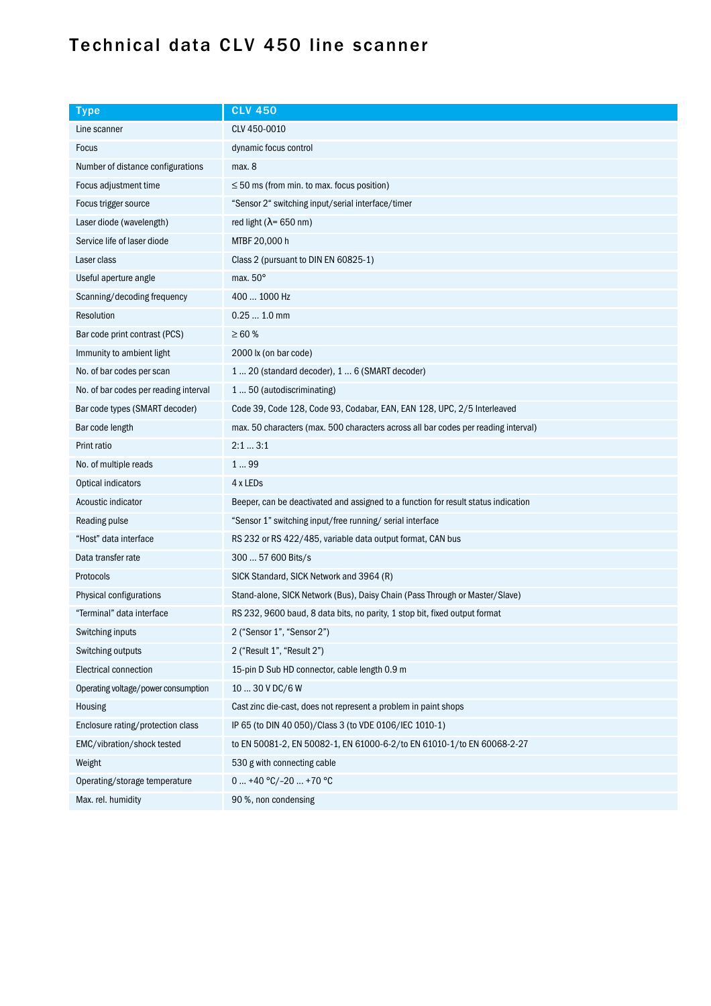# Technical data CLV 450 line scanner

| <b>Type</b>                           | <b>CLV 450</b>                                                                     |
|---------------------------------------|------------------------------------------------------------------------------------|
| Line scanner                          | CLV 450-0010                                                                       |
| <b>Focus</b>                          | dynamic focus control                                                              |
| Number of distance configurations     | max.8                                                                              |
| Focus adjustment time                 | $\leq$ 50 ms (from min. to max. focus position)                                    |
| Focus trigger source                  | "Sensor 2" switching input/serial interface/timer                                  |
| Laser diode (wavelength)              | red light ( $\lambda$ = 650 nm)                                                    |
| Service life of laser diode           | MTBF 20,000 h                                                                      |
| Laser class                           | Class 2 (pursuant to DIN EN 60825-1)                                               |
| Useful aperture angle                 | max. $50^\circ$                                                                    |
| Scanning/decoding frequency           | 400  1000 Hz                                                                       |
| Resolution                            | $0.251.0$ mm                                                                       |
| Bar code print contrast (PCS)         | $\geq 60$ %                                                                        |
| Immunity to ambient light             | 2000 lx (on bar code)                                                              |
| No. of bar codes per scan             | 1  20 (standard decoder), 1  6 (SMART decoder)                                     |
| No. of bar codes per reading interval | 150 (autodiscriminating)                                                           |
| Bar code types (SMART decoder)        | Code 39, Code 128, Code 93, Codabar, EAN, EAN 128, UPC, 2/5 Interleaved            |
| Bar code length                       | max. 50 characters (max. 500 characters across all bar codes per reading interval) |
| Print ratio                           | 2:13:1                                                                             |
| No. of multiple reads                 | 199                                                                                |
| Optical indicators                    | 4 x LEDs                                                                           |
| Acoustic indicator                    | Beeper, can be deactivated and assigned to a function for result status indication |
| Reading pulse                         | "Sensor 1" switching input/free running/ serial interface                          |
| "Host" data interface                 | RS 232 or RS 422/485, variable data output format, CAN bus                         |
| Data transfer rate                    | 300  57 600 Bits/s                                                                 |
| Protocols                             | SICK Standard, SICK Network and 3964 (R)                                           |
| Physical configurations               | Stand-alone, SICK Network (Bus), Daisy Chain (Pass Through or Master/Slave)        |
| "Terminal" data interface             | RS 232, 9600 baud, 8 data bits, no parity, 1 stop bit, fixed output format         |
| Switching inputs                      | 2 ("Sensor 1", "Sensor 2")                                                         |
| Switching outputs                     | 2 ("Result 1", "Result 2")                                                         |
| Electrical connection                 | 15-pin D Sub HD connector, cable length 0.9 m                                      |
| Operating voltage/power consumption   | $1030$ V DC/6 W                                                                    |
| Housing                               | Cast zinc die-cast, does not represent a problem in paint shops                    |
| Enclosure rating/protection class     | IP 65 (to DIN 40 050)/Class 3 (to VDE 0106/IEC 1010-1)                             |
| EMC/vibration/shock tested            | to EN 50081-2, EN 50082-1, EN 61000-6-2/to EN 61010-1/to EN 60068-2-27             |
| Weight                                | 530 g with connecting cable                                                        |
| Operating/storage temperature         | $0+40 °C/-20+70 °C$                                                                |
| Max. rel. humidity                    | 90 %, non condensing                                                               |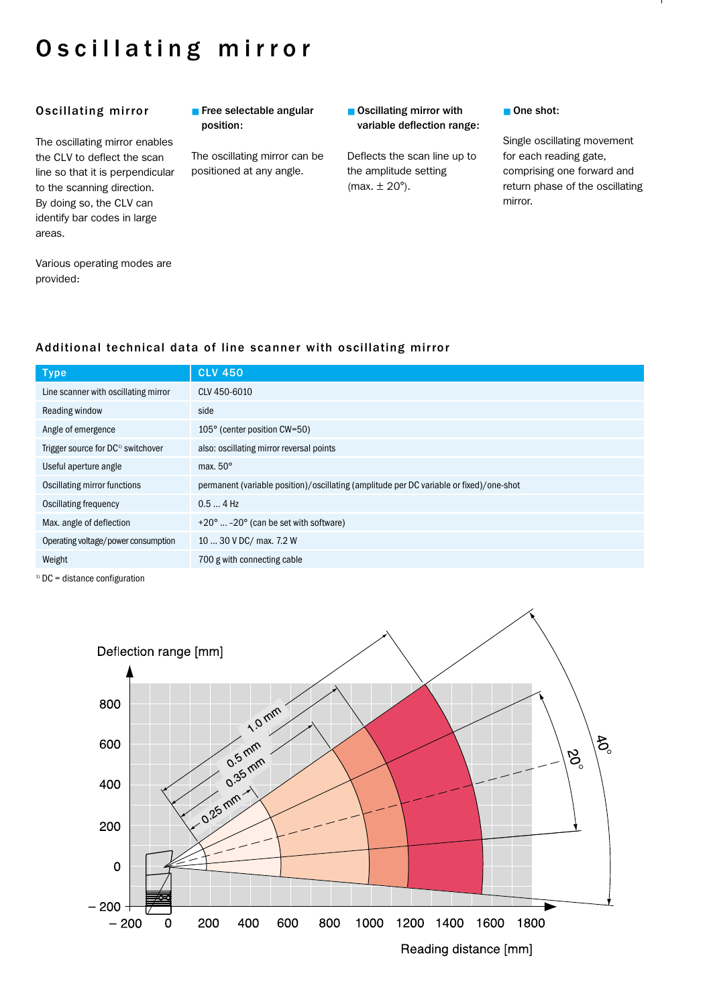# Oscillating mirror

### Oscillating mirror

The oscillating mirror enables the CLV to deflect the scan line so that it is perpendicular to the scanning direction. By doing so, the CLV can identify bar codes in large areas.

■ Free selectable angular position:

The oscillating mirror can be positioned at any angle.

### ■ Oscillating mirror with variable deflection range:

Deflects the scan line up to the amplitude setting  $(max. \pm 20^{\circ}).$ 

### ■ One shot:

Single oscillating movement for each reading gate, comprising one forward and return phase of the oscillating mirror.

Various operating modes are provided:

## Additional technical data of line scanner with oscillating mirror

| <b>Type</b>                                    | <b>CLV 450</b>                                                                          |
|------------------------------------------------|-----------------------------------------------------------------------------------------|
| Line scanner with oscillating mirror           | CLV 450-6010                                                                            |
| Reading window                                 | side                                                                                    |
| Angle of emergence                             | 105° (center position CW=50)                                                            |
| Trigger source for DC <sup>1)</sup> switchover | also: oscillating mirror reversal points                                                |
| Useful aperture angle                          | max. $50^\circ$                                                                         |
| Oscillating mirror functions                   | permanent (variable position)/oscillating (amplitude per DC variable or fixed)/one-shot |
| <b>Oscillating frequency</b>                   | $0.54$ Hz                                                                               |
| Max. angle of deflection                       | +20°  -20° (can be set with software)                                                   |
| Operating voltage/power consumption            | 10  30 V DC/ max. 7.2 W                                                                 |
| Weight                                         | 700 g with connecting cable                                                             |

 $1)$  DC = distance configuration

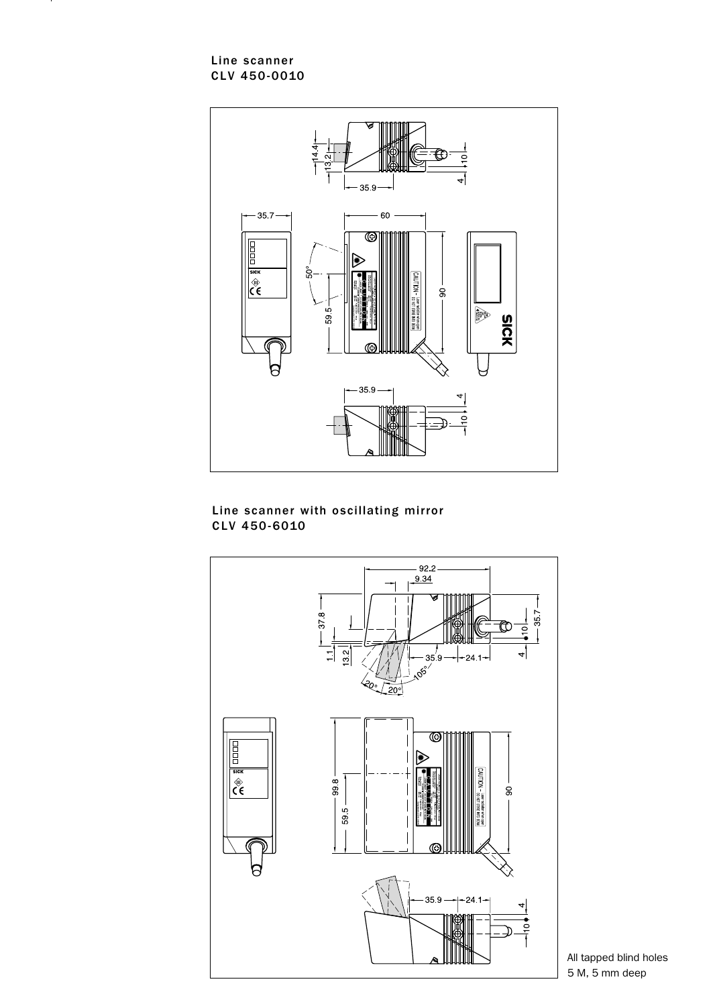Line scanner CLV 450-0010



### Line scanner with oscillating mirror CLV 450-6010



All tapped blind holes 5 M, 5 mm deep